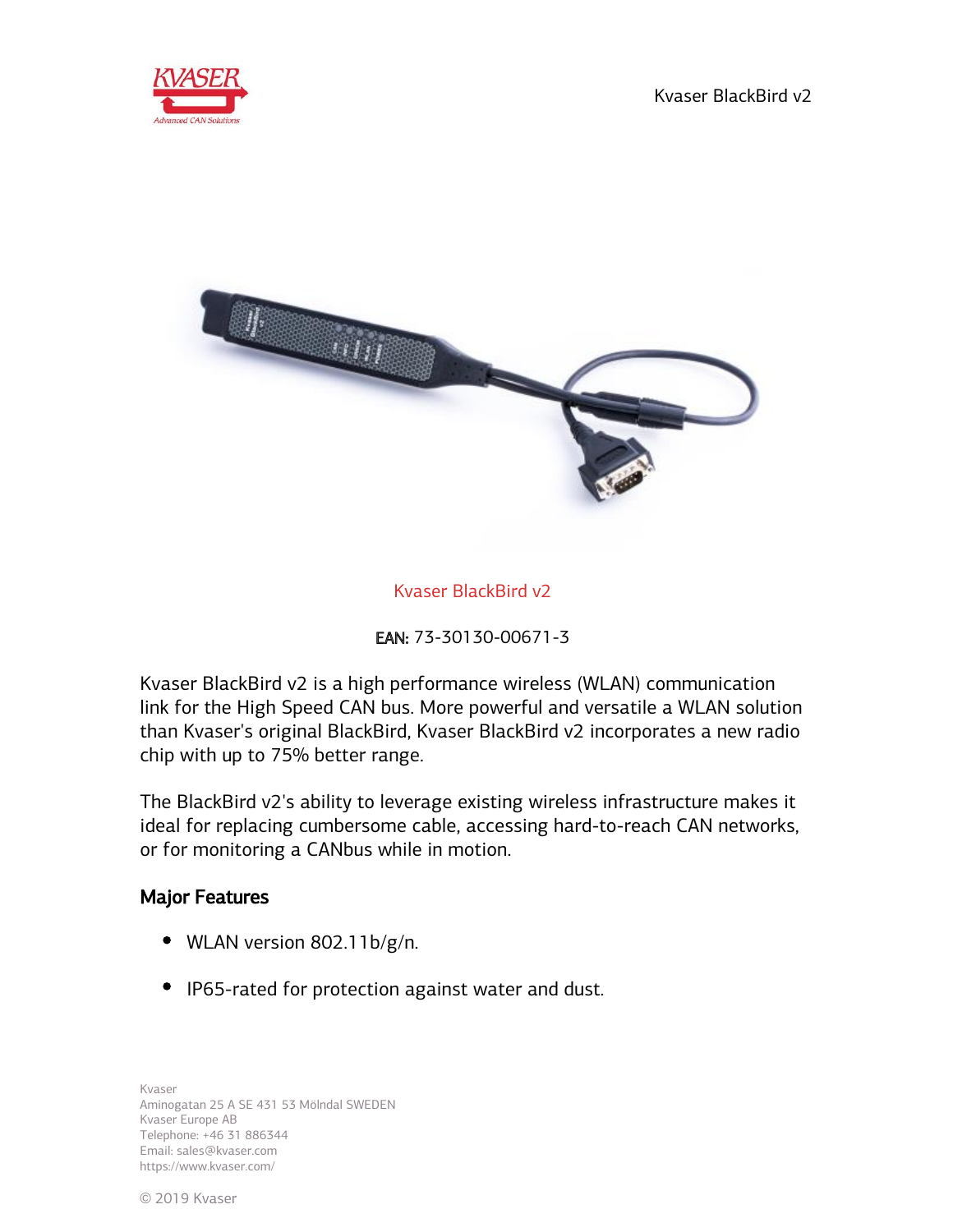



## Kvaser BlackBird v2

EAN: 73-30130-00671-3

Kvaser BlackBird v2 is a high performance wireless (WLAN) communication link for the High Speed CAN bus. More powerful and versatile a WLAN solution than Kvaser's original BlackBird, Kvaser BlackBird v2 incorporates a new radio chip with up to 75% better range.

The BlackBird v2's ability to leverage existing wireless infrastructure makes it ideal for replacing cumbersome cable, accessing hard-to-reach CAN networks, or for monitoring a CANbus while in motion.

#### Major Features

- WLAN version 802.11b/g/n.
- IP65-rated for protection against water and dust.

Kvaser Aminogatan 25 A SE 431 53 Mölndal SWEDEN Kvaser Europe AB Telephone: +46 31 886344 Email: sales@kvaser.com https://www.kvaser.com/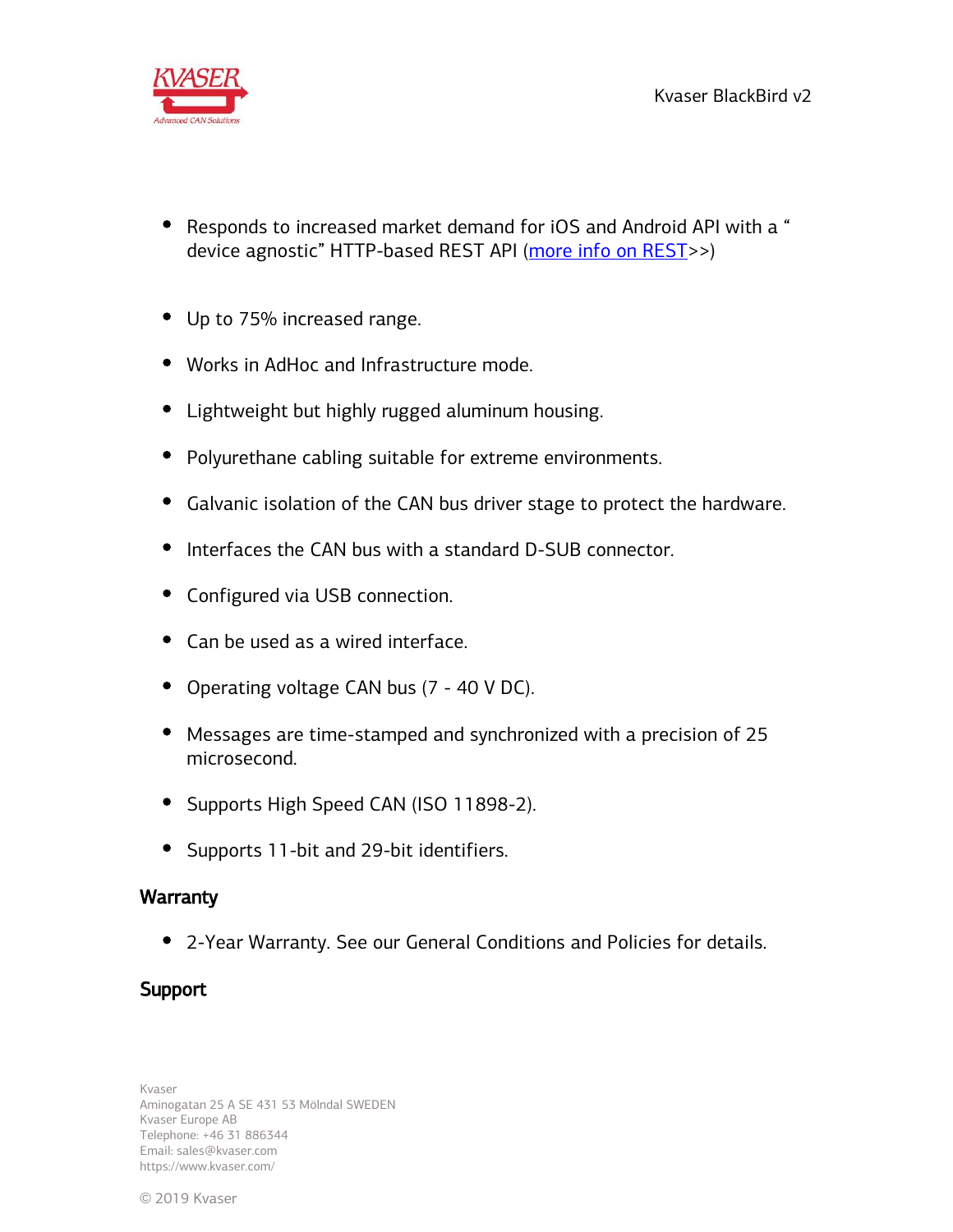

- Responds to increased market demand for iOS and Android API with a " device agnostic" HTTP-based REST API ([more info on REST](https://www.kvaser.com/rest-api/)>>)
- Up to 75% increased range.
- Works in AdHoc and Infrastructure mode.
- Lightweight but highly rugged aluminum housing.
- Polyurethane cabling suitable for extreme environments.
- Galvanic isolation of the CAN bus driver stage to protect the hardware.
- Interfaces the CAN bus with a standard D-SUB connector.
- Configured via USB connection.
- Can be used as a wired interface.
- Operating voltage CAN bus (7 40 V DC).
- Messages are time-stamped and synchronized with a precision of 25 microsecond.
- Supports High Speed CAN (ISO 11898-2).
- Supports 11-bit and 29-bit identifiers.

## **Warranty**

2-Year Warranty. See our General Conditions and Policies for details.

## **Support**

Kvaser Aminogatan 25 A SE 431 53 Mölndal SWEDEN Kvaser Europe AB Telephone: +46 31 886344 Email: sales@kvaser.com https://www.kvaser.com/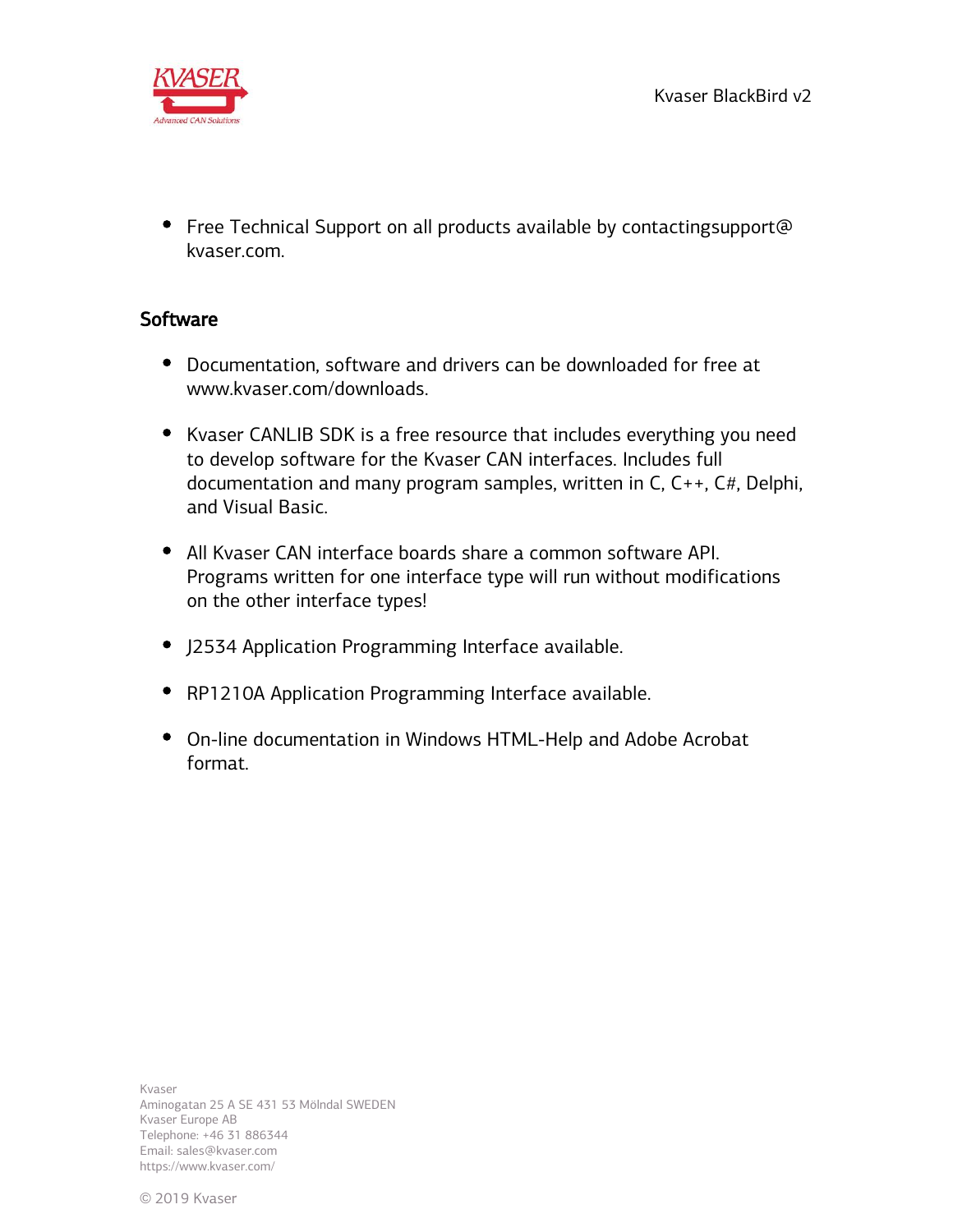

• Free Technical Support on all products available by contacting support@ kvaser.com.

# **Software**

- Documentation, software and drivers can be downloaded for free at www.kvaser.com/downloads.
- Kvaser CANLIB SDK is a free resource that includes everything you need to develop software for the Kvaser CAN interfaces. Includes full documentation and many program samples, written in C, C++, C#, Delphi, and Visual Basic.
- All Kvaser CAN interface boards share a common software API. Programs written for one interface type will run without modifications on the other interface types!
- J2534 Application Programming Interface available.
- RP1210A Application Programming Interface available.
- On-line documentation in Windows HTML-Help and Adobe Acrobat format.

Kvaser Aminogatan 25 A SE 431 53 Mölndal SWEDEN Kvaser Europe AB Telephone: +46 31 886344 Email: sales@kvaser.com https://www.kvaser.com/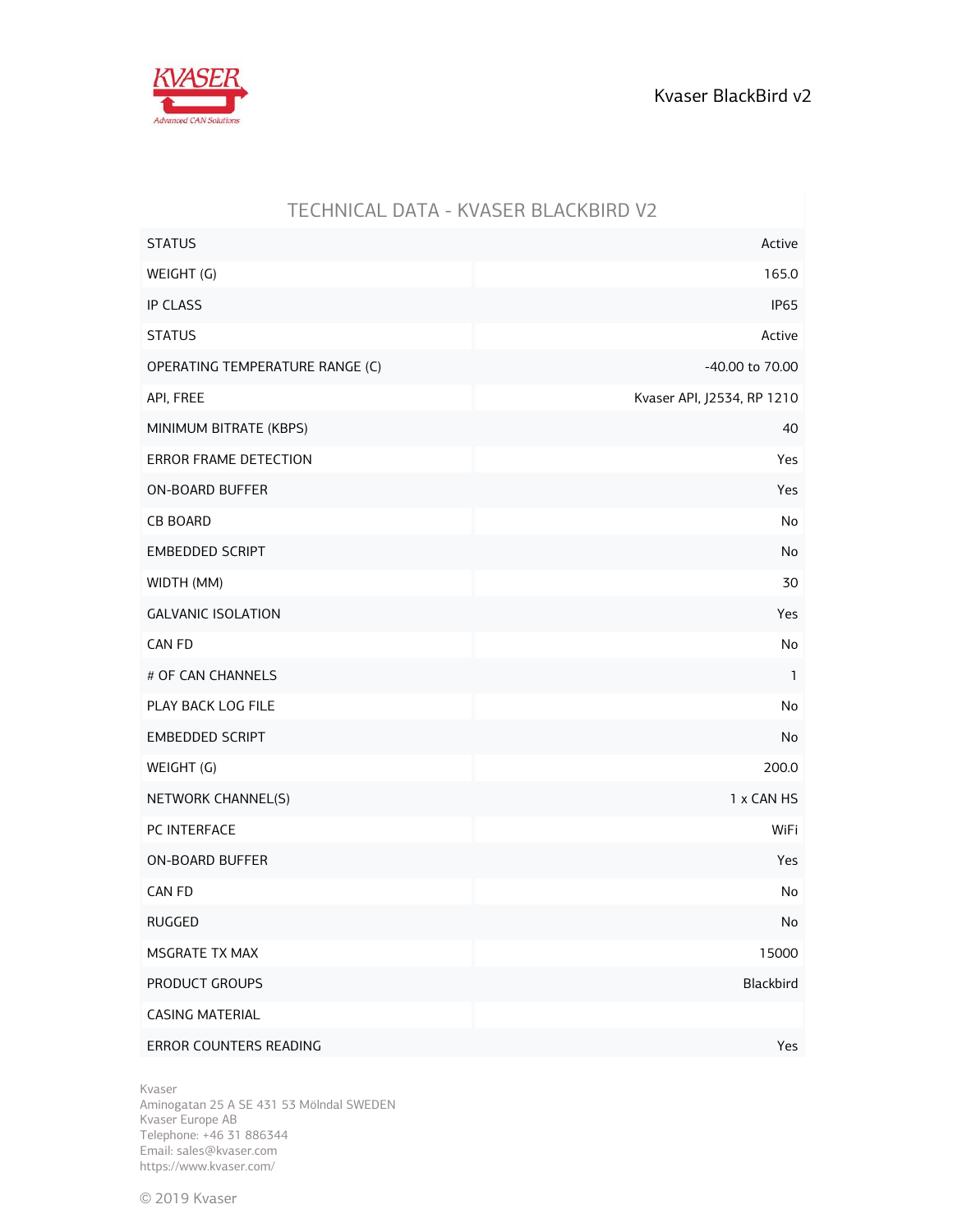

| <u>ILCHINICAL DATA - INVAJEN DEACNDIND VZ</u> |                            |
|-----------------------------------------------|----------------------------|
| <b>STATUS</b>                                 | Active                     |
| WEIGHT (G)                                    | 165.0                      |
| <b>IP CLASS</b>                               | <b>IP65</b>                |
| <b>STATUS</b>                                 | Active                     |
| OPERATING TEMPERATURE RANGE (C)               | -40.00 to 70.00            |
| API, FREE                                     | Kvaser API, J2534, RP 1210 |
| MINIMUM BITRATE (KBPS)                        | 40                         |
| ERROR FRAME DETECTION                         | Yes                        |
| <b>ON-BOARD BUFFER</b>                        | Yes                        |
| <b>CB BOARD</b>                               | No                         |
| <b>EMBEDDED SCRIPT</b>                        | No                         |
| WIDTH (MM)                                    | 30                         |
| <b>GALVANIC ISOLATION</b>                     | Yes                        |
| CAN FD                                        | No                         |
| # OF CAN CHANNELS                             | $\mathbf{1}$               |
| PLAY BACK LOG FILE                            | No                         |
| <b>EMBEDDED SCRIPT</b>                        | No                         |
| WEIGHT (G)                                    | 200.0                      |
| NETWORK CHANNEL(S)                            | 1 x CAN HS                 |
| PC INTERFACE                                  | WiFi                       |
| <b>ON-BOARD BUFFER</b>                        | Yes                        |
| CAN FD                                        | No                         |
| RUGGED                                        | No                         |
| MSGRATE TX MAX                                | 15000                      |
| PRODUCT GROUPS                                | Blackbird                  |
| <b>CASING MATERIAL</b>                        |                            |
| ERROR COUNTERS READING                        | Yes                        |

## TECHNICAL DATA - KVASER BLACKBIRD V2

Kvaser

Aminogatan 25 A SE 431 53 Mölndal SWEDEN Kvaser Europe AB Telephone: +46 31 886344 Email: sales@kvaser.com https://www.kvaser.com/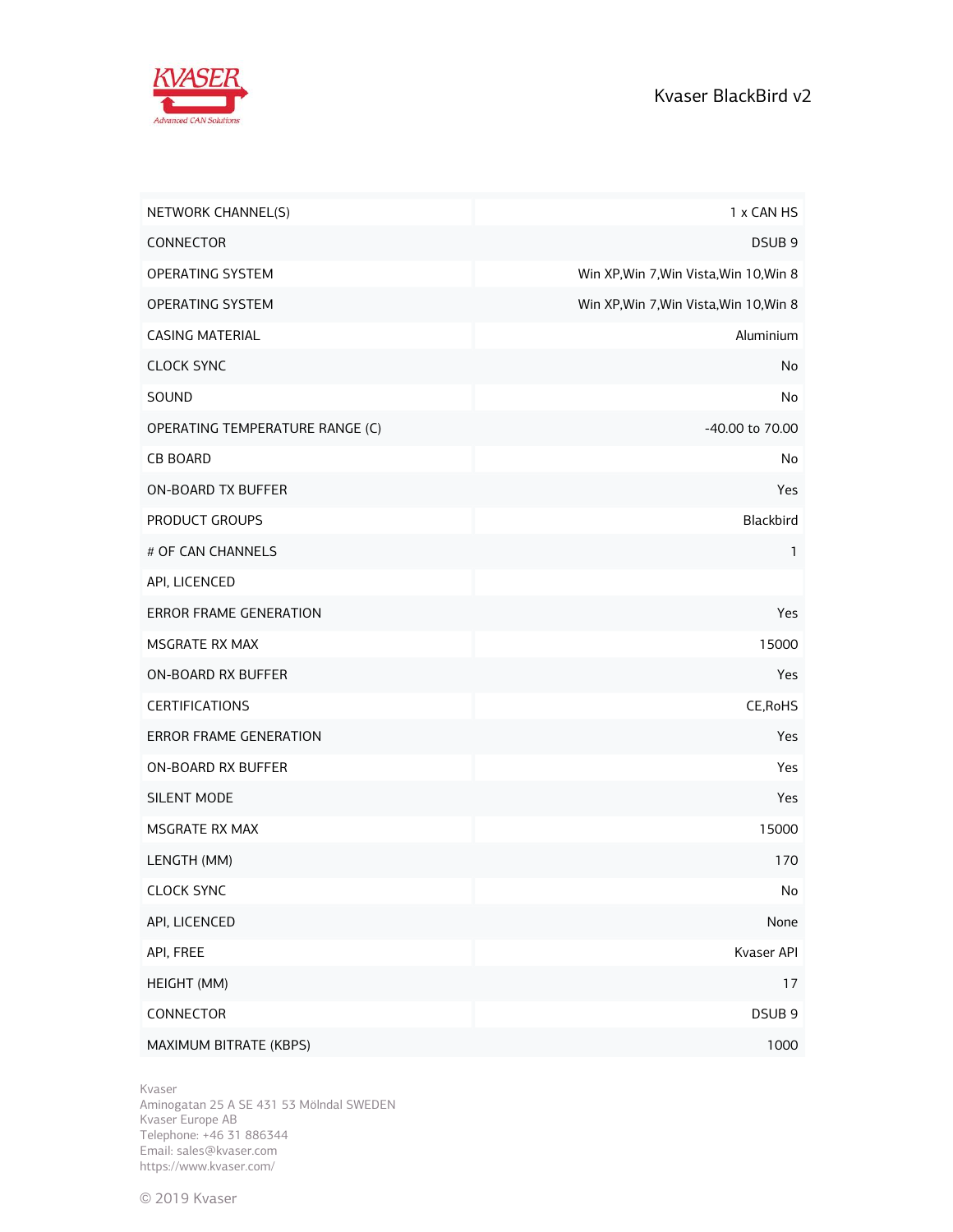

| NETWORK CHANNEL(S)              | 1 x CAN HS                              |
|---------------------------------|-----------------------------------------|
| CONNECTOR                       | DSUB <sub>9</sub>                       |
| OPERATING SYSTEM                | Win XP, Win 7, Win Vista, Win 10, Win 8 |
| OPERATING SYSTEM                | Win XP, Win 7, Win Vista, Win 10, Win 8 |
| <b>CASING MATERIAL</b>          | Aluminium                               |
| <b>CLOCK SYNC</b>               | No                                      |
| SOUND                           | No                                      |
| OPERATING TEMPERATURE RANGE (C) | -40.00 to 70.00                         |
| <b>CB BOARD</b>                 | No                                      |
| <b>ON-BOARD TX BUFFER</b>       | Yes                                     |
| PRODUCT GROUPS                  | Blackbird                               |
| # OF CAN CHANNELS               | 1                                       |
| API, LICENCED                   |                                         |
| <b>ERROR FRAME GENERATION</b>   | Yes                                     |
| MSGRATE RX MAX                  | 15000                                   |
| ON-BOARD RX BUFFER              | Yes                                     |
| <b>CERTIFICATIONS</b>           | CE, RoHS                                |
| <b>ERROR FRAME GENERATION</b>   | Yes                                     |
| ON-BOARD RX BUFFER              | Yes                                     |
| SILENT MODE                     | Yes                                     |
| MSGRATE RX MAX                  | 15000                                   |
| LENGTH (MM)                     | 170                                     |
| <b>CLOCK SYNC</b>               | No                                      |
| API, LICENCED                   | None                                    |
| API, FREE                       | Kvaser API                              |
| HEIGHT (MM)                     | 17                                      |
| CONNECTOR                       | DSUB <sub>9</sub>                       |
| MAXIMUM BITRATE (KBPS)          | 1000                                    |

Kvaser

Aminogatan 25 A SE 431 53 Mölndal SWEDEN Kvaser Europe AB Telephone: +46 31 886344 Email: sales@kvaser.com https://www.kvaser.com/